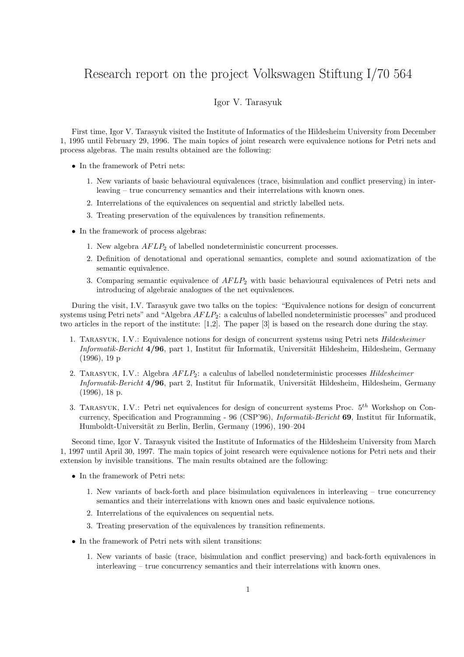## Research report on the project Volkswagen Stiftung I/70 564

## Igor V. Tarasyuk

First time, Igor V. Tarasyuk visited the Institute of Informatics of the Hildesheim University from December 1, 1995 until February 29, 1996. The main topics of joint research were equivalence notions for Petri nets and process algebras. The main results obtained are the following:

- In the framework of Petri nets:
	- 1. New variants of basic behavioural equivalences (trace, bisimulation and conflict preserving) in interleaving – true concurrency semantics and their interrelations with known ones.
	- 2. Interrelations of the equivalences on sequential and strictly labelled nets.
	- 3. Treating preservation of the equivalences by transition refinements.
- In the framework of process algebras:
	- 1. New algebra  $AFLP_2$  of labelled nondeterministic concurrent processes.
	- 2. Definition of denotational and operational semantics, complete and sound axiomatization of the semantic equivalence.
	- 3. Comparing semantic equivalence of  $AFLP_2$  with basic behavioural equivalences of Petri nets and introducing of algebraic analogues of the net equivalences.

During the visit, I.V. Tarasyuk gave two talks on the topics: "Equivalence notions for design of concurrent systems using Petri nets" and "Algebra  $AFLP_2$ : a calculus of labelled nondeterministic processes" and produced two articles in the report of the institute: [1,2]. The paper [3] is based on the research done during the stay.

- 1. Tarasyuk, I.V.: Equivalence notions for design of concurrent systems using Petri nets Hildesheimer Informatik-Bericht 4/96, part 1, Institut für Informatik, Universität Hildesheim, Hildesheim, Germany (1996), 19 p
- 2. TARASYUK, I.V.: Algebra  $AFLP_2$ : a calculus of labelled nondeterministic processes *Hildesheimer* Informatik-Bericht 4/96, part 2, Institut für Informatik, Universität Hildesheim, Hildesheim, Germany (1996), 18 p.
- 3. TARASYUK, I.V.: Petri net equivalences for design of concurrent systems Proc.  $5<sup>th</sup>$  Workshop on Concurrency, Specification and Programming - 96 (CSP'96), *Informatik-Bericht* 69, Institut für Informatik, Humboldt-Universität zu Berlin, Berlin, Germany (1996), 190–204

Second time, Igor V. Tarasyuk visited the Institute of Informatics of the Hildesheim University from March 1, 1997 until April 30, 1997. The main topics of joint research were equivalence notions for Petri nets and their extension by invisible transitions. The main results obtained are the following:

- In the framework of Petri nets:
	- 1. New variants of back-forth and place bisimulation equivalences in interleaving true concurrency semantics and their interrelations with known ones and basic equivalence notions.
	- 2. Interrelations of the equivalences on sequential nets.
	- 3. Treating preservation of the equivalences by transition refinements.
- In the framework of Petri nets with silent transitions:
	- 1. New variants of basic (trace, bisimulation and conflict preserving) and back-forth equivalences in interleaving – true concurrency semantics and their interrelations with known ones.